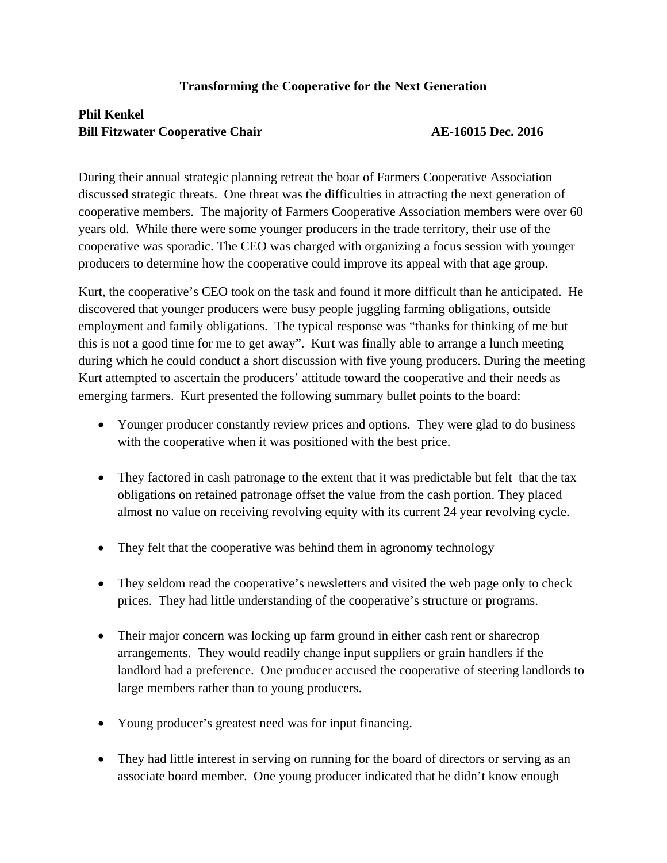## **Transforming the Cooperative for the Next Generation**

## **Phil Kenkel Bill Fitzwater Cooperative Chair 1996 12016 12016 12016 12016 12016 12016**

During their annual strategic planning retreat the boar of Farmers Cooperative Association discussed strategic threats. One threat was the difficulties in attracting the next generation of cooperative members. The majority of Farmers Cooperative Association members were over 60 years old. While there were some younger producers in the trade territory, their use of the cooperative was sporadic. The CEO was charged with organizing a focus session with younger producers to determine how the cooperative could improve its appeal with that age group.

Kurt, the cooperative's CEO took on the task and found it more difficult than he anticipated. He discovered that younger producers were busy people juggling farming obligations, outside employment and family obligations. The typical response was "thanks for thinking of me but this is not a good time for me to get away". Kurt was finally able to arrange a lunch meeting during which he could conduct a short discussion with five young producers. During the meeting Kurt attempted to ascertain the producers' attitude toward the cooperative and their needs as emerging farmers. Kurt presented the following summary bullet points to the board:

- Younger producer constantly review prices and options. They were glad to do business with the cooperative when it was positioned with the best price.
- They factored in cash patronage to the extent that it was predictable but felt that the tax obligations on retained patronage offset the value from the cash portion. They placed almost no value on receiving revolving equity with its current 24 year revolving cycle.
- They felt that the cooperative was behind them in agronomy technology
- They seldom read the cooperative's newsletters and visited the web page only to check prices. They had little understanding of the cooperative's structure or programs.
- Their major concern was locking up farm ground in either cash rent or sharecrop arrangements. They would readily change input suppliers or grain handlers if the landlord had a preference. One producer accused the cooperative of steering landlords to large members rather than to young producers.
- Young producer's greatest need was for input financing.
- They had little interest in serving on running for the board of directors or serving as an associate board member. One young producer indicated that he didn't know enough